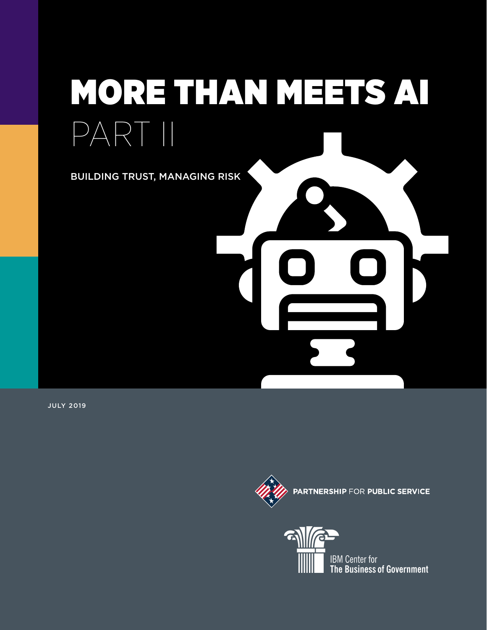# MORE THAN MEETS AI PART II BUILDING TRUST, MANAGING RISK

JULY 2019



IBM Center for The Business of Government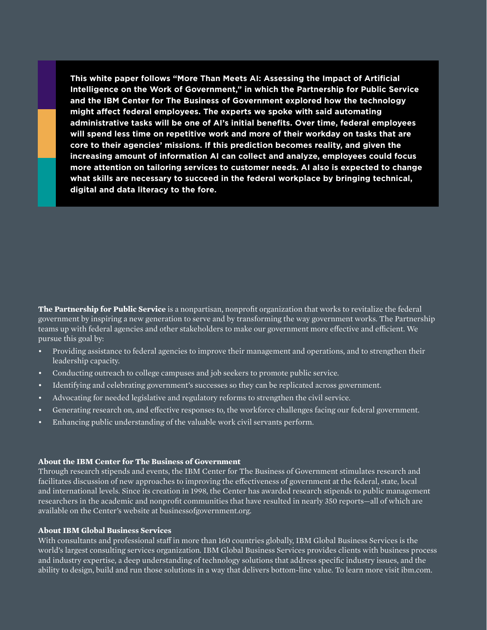**This white paper follows "More Than Meets AI: Assessing the Impact of Artificial Intelligence on the Work of Government," in which the Partnership for Public Service and the IBM Center for The Business of Government explored how the technology might affect federal employees. The experts we spoke with said automating administrative tasks will be one of AI's initial benefits. Over time, federal employees will spend less time on repetitive work and more of their workday on tasks that are core to their agencies' missions. If this prediction becomes reality, and given the increasing amount of information AI can collect and analyze, employees could focus more attention on tailoring services to customer needs. AI also is expected to change what skills are necessary to succeed in the federal workplace by bringing technical, digital and data literacy to the fore.**

**The Partnership for Public Service** is a nonpartisan, nonprofit organization that works to revitalize the federal government by inspiring a new generation to serve and by transforming the way government works. The Partnership teams up with federal agencies and other stakeholders to make our government more effective and efficient. We pursue this goal by:

- Providing assistance to federal agencies to improve their management and operations, and to strengthen their leadership capacity.
- Conducting outreach to college campuses and job seekers to promote public service.
- Identifying and celebrating government's successes so they can be replicated across government.
- Advocating for needed legislative and regulatory reforms to strengthen the civil service.
- Generating research on, and effective responses to, the workforce challenges facing our federal government.
- Enhancing public understanding of the valuable work civil servants perform.

#### **About the IBM Center for The Business of Government**

Through research stipends and events, the IBM Center for The Business of Government stimulates research and facilitates discussion of new approaches to improving the effectiveness of government at the federal, state, local and international levels. Since its creation in 1998, the Center has awarded research stipends to public management researchers in the academic and nonprofit communities that have resulted in nearly 350 reports—all of which are available on the Center's website at businessofgovernment.org.

#### **About IBM Global Business Services**

With consultants and professional staff in more than 160 countries globally, IBM Global Business Services is the world's largest consulting services organization. IBM Global Business Services provides clients with business process and industry expertise, a deep understanding of technology solutions that address specific industry issues, and the ability to design, build and run those solutions in a way that delivers bottom-line value. To learn more visit ibm.com.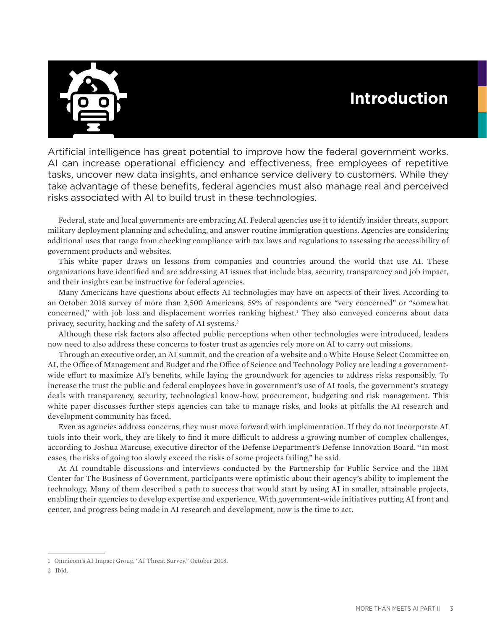# **Introduction**



Artificial intelligence has great potential to improve how the federal government works. AI can increase operational efficiency and effectiveness, free employees of repetitive tasks, uncover new data insights, and enhance service delivery to customers. While they take advantage of these benefits, federal agencies must also manage real and perceived risks associated with AI to build trust in these technologies.

Federal, state and local governments are embracing AI. Federal agencies use it to identify insider threats, support military deployment planning and scheduling, and answer routine immigration questions. Agencies are considering additional uses that range from checking compliance with tax laws and regulations to assessing the accessibility of government products and websites.

This white paper draws on lessons from companies and countries around the world that use AI. These organizations have identified and are addressing AI issues that include bias, security, transparency and job impact, and their insights can be instructive for federal agencies.

Many Americans have questions about effects AI technologies may have on aspects of their lives. According to an October 2018 survey of more than 2,500 Americans, 59% of respondents are "very concerned" or "somewhat concerned," with job loss and displacement worries ranking highest.1 They also conveyed concerns about data privacy, security, hacking and the safety of AI systems.2

Although these risk factors also affected public perceptions when other technologies were introduced, leaders now need to also address these concerns to foster trust as agencies rely more on AI to carry out missions.

Through an executive order, an AI summit, and the creation of a website and a White House Select Committee on AI, the Office of Management and Budget and the Office of Science and Technology Policy are leading a governmentwide effort to maximize AI's benefits, while laying the groundwork for agencies to address risks responsibly. To increase the trust the public and federal employees have in government's use of AI tools, the government's strategy deals with transparency, security, technological know-how, procurement, budgeting and risk management. This white paper discusses further steps agencies can take to manage risks, and looks at pitfalls the AI research and development community has faced.

Even as agencies address concerns, they must move forward with implementation. If they do not incorporate AI tools into their work, they are likely to find it more difficult to address a growing number of complex challenges, according to Joshua Marcuse, executive director of the Defense Department's Defense Innovation Board. "In most cases, the risks of going too slowly exceed the risks of some projects failing," he said.

At AI roundtable discussions and interviews conducted by the Partnership for Public Service and the IBM Center for The Business of Government, participants were optimistic about their agency's ability to implement the technology. Many of them described a path to success that would start by using AI in smaller, attainable projects, enabling their agencies to develop expertise and experience. With government-wide initiatives putting AI front and center, and progress being made in AI research and development, now is the time to act.

<sup>1</sup> Omnicom's AI Impact Group, "AI Threat Survey," October 2018.

<sup>2</sup> Ibid.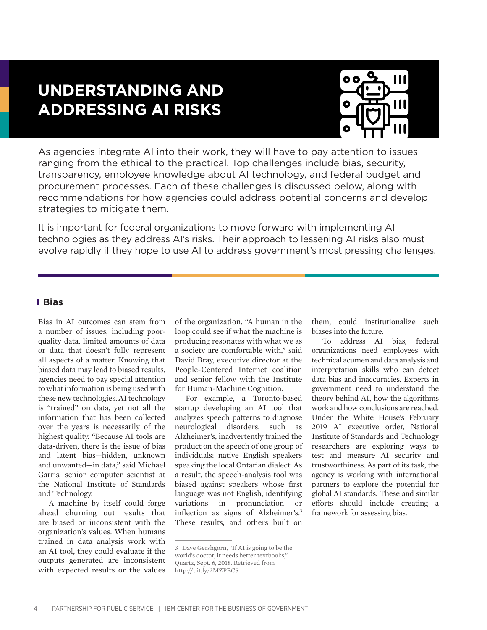# **UNDERSTANDING AND ADDRESSING AI RISKS**



As agencies integrate AI into their work, they will have to pay attention to issues ranging from the ethical to the practical. Top challenges include bias, security, transparency, employee knowledge about AI technology, and federal budget and procurement processes. Each of these challenges is discussed below, along with recommendations for how agencies could address potential concerns and develop strategies to mitigate them.

It is important for federal organizations to move forward with implementing AI technologies as they address AI's risks. Their approach to lessening AI risks also must evolve rapidly if they hope to use AI to address government's most pressing challenges.

## **Bias**

Bias in AI outcomes can stem from a number of issues, including poorquality data, limited amounts of data or data that doesn't fully represent all aspects of a matter. Knowing that biased data may lead to biased results, agencies need to pay special attention to what information is being used with these new technologies. AI technology is "trained" on data, yet not all the information that has been collected over the years is necessarily of the highest quality. "Because AI tools are data-driven, there is the issue of bias and latent bias—hidden, unknown and unwanted—in data," said Michael Garris, senior computer scientist at the National Institute of Standards and Technology.

A machine by itself could forge ahead churning out results that are biased or inconsistent with the organization's values. When humans trained in data analysis work with an AI tool, they could evaluate if the outputs generated are inconsistent with expected results or the values

of the organization. "A human in the loop could see if what the machine is producing resonates with what we as a society are comfortable with," said David Bray, executive director at the People-Centered Internet coalition and senior fellow with the Institute for Human-Machine Cognition.

For example, a Toronto-based startup developing an AI tool that analyzes speech patterns to diagnose neurological disorders, such as Alzheimer's, inadvertently trained the product on the speech of one group of individuals: native English speakers speaking the local Ontarian dialect. As a result, the speech-analysis tool was biased against speakers whose first language was not English, identifying variations in pronunciation or inflection as signs of Alzheimer's.3 These results, and others built on

3 Dave Gershgorn, "If AI is going to be the world's doctor, it needs better textbooks," Quartz, Sept. 6, 2018. Retrieved from http://bit.ly/2MZPEC5

them, could institutionalize such biases into the future.

To address AI bias, federal organizations need employees with technical acumen and data analysis and interpretation skills who can detect data bias and inaccuracies. Experts in government need to understand the theory behind AI, how the algorithms work and how conclusions are reached. Under the White House's February 2019 AI executive order, National Institute of Standards and Technology researchers are exploring ways to test and measure AI security and trustworthiness. As part of its task, the agency is working with international partners to explore the potential for global AI standards. These and similar efforts should include creating a framework for assessing bias.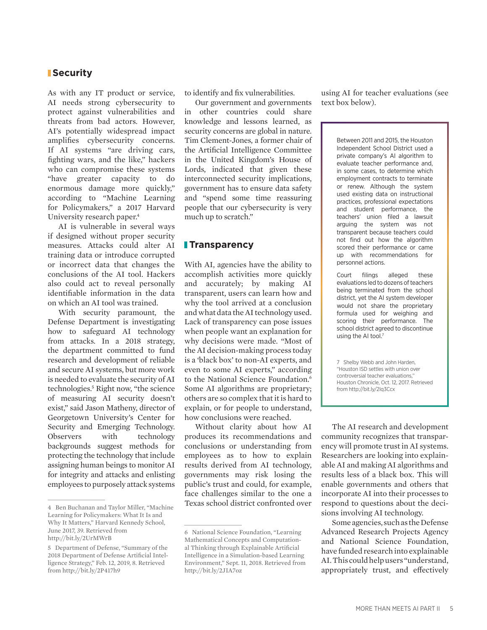#### **Security**

As with any IT product or service, AI needs strong cybersecurity to protect against vulnerabilities and threats from bad actors. However, AI's potentially widespread impact amplifies cybersecurity concerns. If AI systems "are driving cars, fighting wars, and the like," hackers who can compromise these systems "have greater capacity to do enormous damage more quickly," according to "Machine Learning for Policymakers," a 2017 Harvard University research paper.<sup>4</sup>

AI is vulnerable in several ways if designed without proper security measures. Attacks could alter AI training data or introduce corrupted or incorrect data that changes the conclusions of the AI tool. Hackers also could act to reveal personally identifiable information in the data on which an AI tool was trained.

With security paramount, the Defense Department is investigating how to safeguard AI technology from attacks. In a 2018 strategy, the department committed to fund research and development of reliable and secure AI systems, but more work is needed to evaluate the security of AI technologies.<sup>5</sup> Right now, "the science of measuring AI security doesn't exist," said Jason Matheny, director of Georgetown University's Center for Security and Emerging Technology. Observers with technology backgrounds suggest methods for protecting the technology that include assigning human beings to monitor AI for integrity and attacks and enlisting employees to purposely attack systems

to identify and fix vulnerabilities.

Our government and governments in other countries could share knowledge and lessons learned, as security concerns are global in nature. Tim Clement-Jones, a former chair of the Artificial Intelligence Committee in the United Kingdom's House of Lords, indicated that given these interconnected security implications, government has to ensure data safety and "spend some time reassuring people that our cybersecurity is very much up to scratch."

#### **Transparency**

With AI, agencies have the ability to accomplish activities more quickly and accurately; by making AI transparent, users can learn how and why the tool arrived at a conclusion and what data the AI technology used. Lack of transparency can pose issues when people want an explanation for why decisions were made. "Most of the AI decision-making process today is a 'black box' to non-AI experts, and even to some AI experts," according to the National Science Foundation.<sup>6</sup> Some AI algorithms are proprietary; others are so complex that it is hard to explain, or for people to understand, how conclusions were reached.

Without clarity about how AI produces its recommendations and conclusions or understanding from employees as to how to explain results derived from AI technology, governments may risk losing the public's trust and could, for example, face challenges similar to the one a Texas school district confronted over

using AI for teacher evaluations (see text box below).

> Between 2011 and 2015, the Houston Independent School District used a private company's AI algorithm to evaluate teacher performance and, in some cases, to determine which employment contracts to terminate or renew. Although the system used existing data on instructional practices, professional expectations and student performance, the teachers' union filed a lawsuit arguing the system was not transparent because teachers could not find out how the algorithm scored their performance or came up with recommendations for personnel actions.

> Court filings alleged these evaluations led to dozens of teachers being terminated from the school district, yet the AI system developer would not share the proprietary formula used for weighing and scoring their performance. The school district agreed to discontinue using the AI tool.<sup>7</sup>

> 7 Shelby Webb and John Harden, "Houston ISD settles with union over controversial teacher evaluations," Houston Chronicle, Oct. 12, 2017. Retrieved from http://bit.ly/2Iq3Ccx

The AI research and development community recognizes that transparency will promote trust in AI systems. Researchers are looking into explainable AI and making AI algorithms and results less of a black box. This will enable governments and others that incorporate AI into their processes to respond to questions about the decisions involving AI technology.

Some agencies, such as the Defense Advanced Research Projects Agency and National Science Foundation, have funded research into explainable AI. This could help users "understand, appropriately trust, and effectively

<sup>4</sup> Ben Buchanan and Taylor Miller, "Machine Learning for Policymakers: What It Is and Why It Matters," Harvard Kennedy School, June 2017, 39. Retrieved from http://bit.ly/2UrMWrB

<sup>5</sup> Department of Defense, "Summary of the 2018 Department of Defense Artificial Intelligence Strategy," Feb. 12, 2019, 8. Retrieved from http://bit.ly/2P417h9

<sup>6</sup> National Science Foundation, "Learning Mathematical Concepts and Computational Thinking through Explainable Artificial Intelligence in a Simulation-based Learning Environment," Sept. 11, 2018. Retrieved from http://bit.ly/2JIA7oz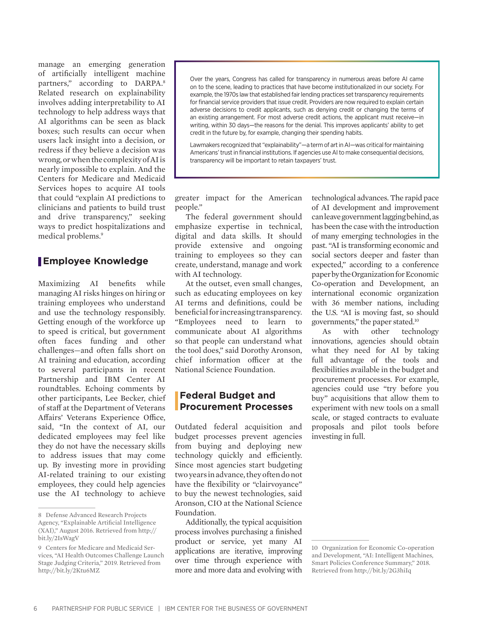manage an emerging generation of artificially intelligent machine partners," according to DARPA.<sup>8</sup> Related research on explainability involves adding interpretability to AI technology to help address ways that AI algorithms can be seen as black boxes; such results can occur when users lack insight into a decision, or redress if they believe a decision was wrong, or when the complexity of AI is nearly impossible to explain. And the Centers for Medicare and Medicaid Services hopes to acquire AI tools that could "explain AI predictions to clinicians and patients to build trust and drive transparency," seeking ways to predict hospitalizations and medical problems.9

### **Employee Knowledge**

Maximizing AI benefits while managing AI risks hinges on hiring or training employees who understand and use the technology responsibly. Getting enough of the workforce up to speed is critical, but government often faces funding and other challenges—and often falls short on AI training and education, according to several participants in recent Partnership and IBM Center AI roundtables. Echoing comments by other participants, Lee Becker, chief of staff at the Department of Veterans Affairs' Veterans Experience Office, said, "In the context of AI, our dedicated employees may feel like they do not have the necessary skills to address issues that may come up. By investing more in providing AI-related training to our existing employees, they could help agencies use the AI technology to achieve

Over the years, Congress has called for transparency in numerous areas before AI came on to the scene, leading to practices that have become institutionalized in our society. For example, the 1970s law that established fair lending practices set transparency requirements for financial service providers that issue credit. Providers are now required to explain certain adverse decisions to credit applicants, such as denying credit or changing the terms of an existing arrangement. For most adverse credit actions, the applicant must receive—in writing, within 30 days—the reasons for the denial. This improves applicants' ability to get credit in the future by, for example, changing their spending habits.

Lawmakers recognized that "explainability"—a term of art in AI—was critical for maintaining Americans' trust in financial institutions. If agencies use AI to make consequential decisions, transparency will be important to retain taxpayers' trust.

greater impact for the American people."

The federal government should emphasize expertise in technical, digital and data skills. It should provide extensive and ongoing training to employees so they can create, understand, manage and work with AI technology.

At the outset, even small changes, such as educating employees on key AI terms and definitions, could be beneficial for increasing transparency. "Employees need to learn to communicate about AI algorithms so that people can understand what the tool does," said Dorothy Aronson, chief information officer at the National Science Foundation.

#### **Federal Budget and Procurement Processes**

Outdated federal acquisition and budget processes prevent agencies from buying and deploying new technology quickly and efficiently. Since most agencies start budgeting two years in advance, they often do not have the flexibility or "clairvoyance" to buy the newest technologies, said Aronson, CIO at the National Science Foundation.

Additionally, the typical acquisition process involves purchasing a finished product or service, yet many AI applications are iterative, improving over time through experience with more and more data and evolving with technological advances. The rapid pace of AI development and improvement can leave government lagging behind, as has been the case with the introduction of many emerging technologies in the past. "AI is transforming economic and social sectors deeper and faster than expected," according to a conference paper by the Organization for Economic Co-operation and Development, an international economic organization with 36 member nations, including the U.S. "AI is moving fast, so should governments," the paper stated.10

As with other technology innovations, agencies should obtain what they need for AI by taking full advantage of the tools and flexibilities available in the budget and procurement processes. For example, agencies could use "try before you buy" acquisitions that allow them to experiment with new tools on a small scale, or staged contracts to evaluate proposals and pilot tools before investing in full.

<sup>8</sup> Defense Advanced Research Projects Agency, "Explainable Artificial Intelligence (XAI)," August 2016. Retrieved from http:// bit.ly/2IsWagV

<sup>9</sup> Centers for Medicare and Medicaid Services, "AI Health Outcomes Challenge Launch Stage Judging Criteria," 2019. Retrieved from http://bit.ly/2Ktu6MZ

<sup>10</sup> Organization for Economic Co-operation and Development, "AI: Intelligent Machines, Smart Policies Conference Summary," 2018. Retrieved from http://bit.ly/2G3hiIq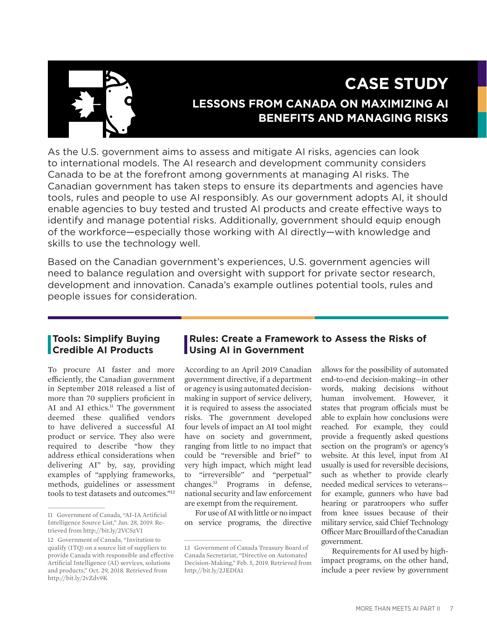

# **CASE STUDY LESSONS FROM CANADA ON MAXIMIZING AI BENEFITS AND MANAGING RISKS**

As the U.S. government aims to assess and mitigate AI risks, agencies can look to international models. The AI research and development community considers Canada to be at the forefront among governments at managing AI risks. The Canadian government has taken steps to ensure its departments and agencies have tools, rules and people to use AI responsibly. As our government adopts AI, it should enable agencies to buy tested and trusted AI products and create effective ways to identify and manage potential risks. Additionally, government should equip enough of the workforce—especially those working with AI directly—with knowledge and skills to use the technology well.

Based on the Canadian government's experiences, U.S. government agencies will need to balance regulation and oversight with support for private sector research, development and innovation. Canada's example outlines potential tools, rules and people issues for consideration.

## **Tools: Simplify Buying Credible AI Products**

To procure AI faster and more efficiently, the Canadian government in September 2018 released a list of more than 70 suppliers proficient in AI and AI ethics.<sup>11</sup> The government deemed these qualified vendors to have delivered a successful AI product or service. They also were required to describe "how they address ethical considerations when delivering AI" by, say, providing examples of "applying frameworks, methods, guidelines or assessment tools to test datasets and outcomes."12

# **Rules: Create a Framework to Assess the Risks of Using AI in Government**

According to an April 2019 Canadian government directive, if a department or agency is using automated decisionmaking in support of service delivery, it is required to assess the associated risks. The government developed four levels of impact an AI tool might have on society and government, ranging from little to no impact that could be "reversible and brief" to very high impact, which might lead to "irreversible" and "perpetual" changes.13 Programs in defense, national security and law enforcement are exempt from the requirement.

For use of AI with little or no impact on service programs, the directive allows for the possibility of automated end-to-end decision-making—in other words, making decisions without human involvement. However, it states that program officials must be able to explain how conclusions were reached. For example, they could provide a frequently asked questions section on the program's or agency's website. At this level, input from AI usually is used for reversible decisions, such as whether to provide clearly needed medical services to veterans for example, gunners who have bad hearing or paratroopers who suffer from knee issues because of their military service, said Chief Technology Officer Marc Brouillard of the Canadian government.

Requirements for AI used by highimpact programs, on the other hand, include a peer review by government

<sup>11</sup> Government of Canada, "AI-IA Artificial Intelligence Source List," Jan. 28, 2019. Retrieved from http://bit.ly/2VCSzV1

<sup>12</sup> Government of Canada, "Invitation to qualify (ITQ) on a source list of suppliers to provide Canada with responsible and effective Artificial Intelligence (AI) services, solutions and products," Oct. 29, 2018. Retrieved from http://bit.ly/2vZdv9K

<sup>13</sup> Government of Canada Treasury Board of Canada Secretariat, "Directive on Automated Decision-Making," Feb. 5, 2019. Retrieved from http://bit.ly/2JEDfA1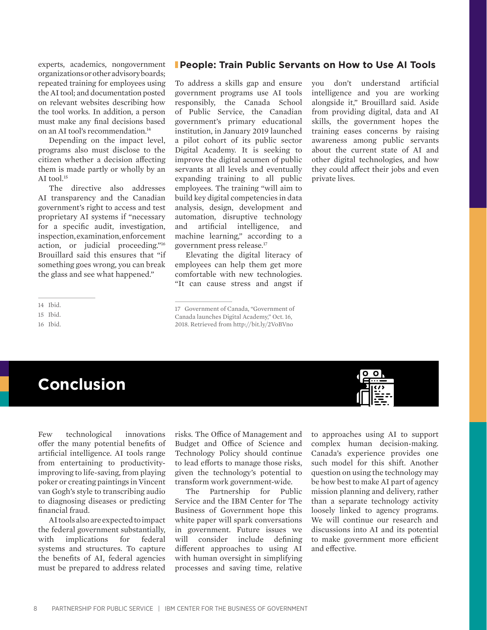experts, academics, nongovernment organizations or other advisory boards; repeated training for employees using the AI tool; and documentation posted on relevant websites describing how the tool works. In addition, a person must make any final decisions based on an AI tool's recommendation.<sup>14</sup>

Depending on the impact level, programs also must disclose to the citizen whether a decision affecting them is made partly or wholly by an AI tool. $15$ 

The directive also addresses AI transparency and the Canadian government's right to access and test proprietary AI systems if "necessary for a specific audit, investigation, inspection, examination, enforcement action, or judicial proceeding."16 Brouillard said this ensures that "if something goes wrong, you can break the glass and see what happened."

16 Ibid.

#### **People: Train Public Servants on How to Use AI Tools**

To address a skills gap and ensure government programs use AI tools responsibly, the Canada School of Public Service, the Canadian government's primary educational institution, in January 2019 launched a pilot cohort of its public sector Digital Academy. It is seeking to improve the digital acumen of public servants at all levels and eventually expanding training to all public employees. The training "will aim to build key digital competencies in data analysis, design, development and automation, disruptive technology and artificial intelligence, and machine learning," according to a government press release.17

Elevating the digital literacy of employees can help them get more comfortable with new technologies. "It can cause stress and angst if

2018. Retrieved from http://bit.ly/2VoBVno

you don't understand artificial intelligence and you are working alongside it," Brouillard said. Aside from providing digital, data and AI skills, the government hopes the training eases concerns by raising awareness among public servants about the current state of AI and other digital technologies, and how they could affect their jobs and even private lives.



Few technological innovations offer the many potential benefits of artificial intelligence. AI tools range from entertaining to productivityimproving to life-saving, from playing poker or creating paintings in Vincent van Gogh's style to transcribing audio to diagnosing diseases or predicting financial fraud.

AI tools also are expected to impact the federal government substantially, with implications for federal systems and structures. To capture the benefits of AI, federal agencies must be prepared to address related

risks. The Office of Management and Budget and Office of Science and Technology Policy should continue to lead efforts to manage those risks, given the technology's potential to transform work government-wide.

The Partnership for Public Service and the IBM Center for The Business of Government hope this white paper will spark conversations in government. Future issues we will consider include defining different approaches to using AI with human oversight in simplifying processes and saving time, relative

to approaches using AI to support complex human decision-making. Canada's experience provides one such model for this shift. Another question on using the technology may be how best to make AI part of agency mission planning and delivery, rather than a separate technology activity loosely linked to agency programs. We will continue our research and discussions into AI and its potential to make government more efficient and effective.



<sup>14</sup> Ibid.

<sup>15</sup> Ibid.

<sup>17</sup> Government of Canada, "Government of Canada launches Digital Academy," Oct. 16,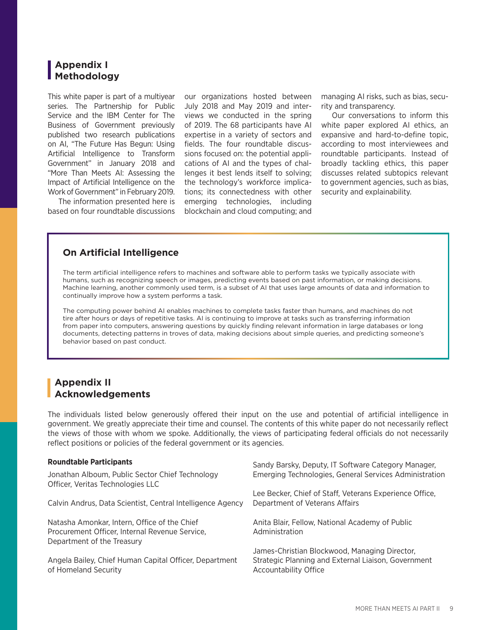## **Appendix I Methodology**

This white paper is part of a multiyear series. The Partnership for Public Service and the IBM Center for The Business of Government previously published two research publications on AI, "The Future Has Begun: Using Artificial Intelligence to Transform Government" in January 2018 and "More Than Meets AI: Assessing the Impact of Artificial Intelligence on the Work of Government" in February 2019.

The information presented here is based on four roundtable discussions

our organizations hosted between July 2018 and May 2019 and interviews we conducted in the spring of 2019. The 68 participants have AI expertise in a variety of sectors and fields. The four roundtable discussions focused on: the potential applications of AI and the types of challenges it best lends itself to solving; the technology's workforce implications; its connectedness with other emerging technologies, including blockchain and cloud computing; and managing AI risks, such as bias, security and transparency.

Our conversations to inform this white paper explored AI ethics, an expansive and hard-to-define topic, according to most interviewees and roundtable participants. Instead of broadly tackling ethics, this paper discusses related subtopics relevant to government agencies, such as bias, security and explainability.

### **On Artificial Intelligence**

The term artificial intelligence refers to machines and software able to perform tasks we typically associate with humans, such as recognizing speech or images, predicting events based on past information, or making decisions. Machine learning, another commonly used term, is a subset of AI that uses large amounts of data and information to continually improve how a system performs a task.

The computing power behind AI enables machines to complete tasks faster than humans, and machines do not tire after hours or days of repetitive tasks. AI is continuing to improve at tasks such as transferring information from paper into computers, answering questions by quickly finding relevant information in large databases or long documents, detecting patterns in troves of data, making decisions about simple queries, and predicting someone's behavior based on past conduct.

# **Appendix II Acknowledgements**

The individuals listed below generously offered their input on the use and potential of artificial intelligence in government. We greatly appreciate their time and counsel. The contents of this white paper do not necessarily reflect the views of those with whom we spoke. Additionally, the views of participating federal officials do not necessarily reflect positions or policies of the federal government or its agencies.

#### **Roundtable Participants**

| Jonathan Alboum, Public Sector Chief Technology<br>Officer, Veritas Technologies LLC                                         | <u>Sariuv Barsky, Deputy, IT Sultware Category Manager,</u><br>Emerging Technologies, General Services Administration                |
|------------------------------------------------------------------------------------------------------------------------------|--------------------------------------------------------------------------------------------------------------------------------------|
| Calvin Andrus, Data Scientist, Central Intelligence Agency                                                                   | Lee Becker, Chief of Staff, Veterans Experience Office,<br>Department of Veterans Affairs                                            |
| Natasha Amonkar, Intern, Office of the Chief<br>Procurement Officer, Internal Revenue Service,<br>Department of the Treasury | Anita Blair, Fellow, National Academy of Public<br>Administration                                                                    |
| Angela Bailey, Chief Human Capital Officer, Department<br>of Homeland Security                                               | James-Christian Blockwood, Managing Director,<br>Strategic Planning and External Liaison, Government<br><b>Accountability Office</b> |

Sandy Barsky, Deputy, IT Software Category Manager,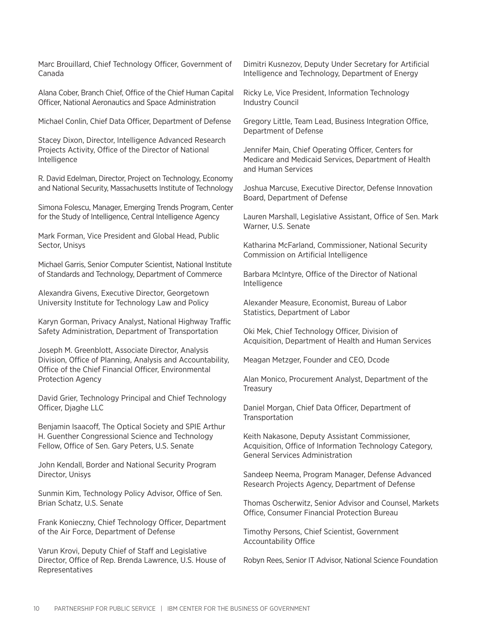Marc Brouillard, Chief Technology Officer, Government of Canada

Alana Cober, Branch Chief, Office of the Chief Human Capital Officer, National Aeronautics and Space Administration

Michael Conlin, Chief Data Officer, Department of Defense

Stacey Dixon, Director, Intelligence Advanced Research Projects Activity, Office of the Director of National Intelligence

R. David Edelman, Director, Project on Technology, Economy and National Security, Massachusetts Institute of Technology

Simona Folescu, Manager, Emerging Trends Program, Center for the Study of Intelligence, Central Intelligence Agency

Mark Forman, Vice President and Global Head, Public Sector, Unisys

Michael Garris, Senior Computer Scientist, National Institute of Standards and Technology, Department of Commerce

Alexandra Givens, Executive Director, Georgetown University Institute for Technology Law and Policy

Karyn Gorman, Privacy Analyst, National Highway Traffic Safety Administration, Department of Transportation

Joseph M. Greenblott, Associate Director, Analysis Division, Office of Planning, Analysis and Accountability, Office of the Chief Financial Officer, Environmental Protection Agency

David Grier, Technology Principal and Chief Technology Officer, Djaghe LLC

Benjamin Isaacoff, The Optical Society and SPIE Arthur H. Guenther Congressional Science and Technology Fellow, Office of Sen. Gary Peters, U.S. Senate

John Kendall, Border and National Security Program Director, Unisys

Sunmin Kim, Technology Policy Advisor, Office of Sen. Brian Schatz, U.S. Senate

Frank Konieczny, Chief Technology Officer, Department of the Air Force, Department of Defense

Varun Krovi, Deputy Chief of Staff and Legislative Director, Office of Rep. Brenda Lawrence, U.S. House of Representatives

Dimitri Kusnezov, Deputy Under Secretary for Artificial Intelligence and Technology, Department of Energy

Ricky Le, Vice President, Information Technology Industry Council

Gregory Little, Team Lead, Business Integration Office, Department of Defense

Jennifer Main, Chief Operating Officer, Centers for Medicare and Medicaid Services, Department of Health and Human Services

Joshua Marcuse, Executive Director, Defense Innovation Board, Department of Defense

Lauren Marshall, Legislative Assistant, Office of Sen. Mark Warner, U.S. Senate

Katharina McFarland, Commissioner, National Security Commission on Artificial Intelligence

Barbara McIntyre, Office of the Director of National Intelligence

Alexander Measure, Economist, Bureau of Labor Statistics, Department of Labor

Oki Mek, Chief Technology Officer, Division of Acquisition, Department of Health and Human Services

Meagan Metzger, Founder and CEO, Dcode

Alan Monico, Procurement Analyst, Department of the Treasury

Daniel Morgan, Chief Data Officer, Department of **Transportation** 

Keith Nakasone, Deputy Assistant Commissioner, Acquisition, Office of Information Technology Category, General Services Administration

Sandeep Neema, Program Manager, Defense Advanced Research Projects Agency, Department of Defense

Thomas Oscherwitz, Senior Advisor and Counsel, Markets Office, Consumer Financial Protection Bureau

Timothy Persons, Chief Scientist, Government Accountability Office

Robyn Rees, Senior IT Advisor, National Science Foundation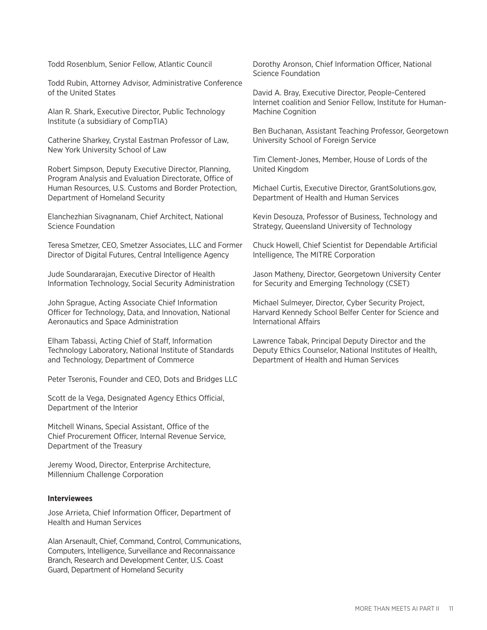Todd Rosenblum, Senior Fellow, Atlantic Council

Todd Rubin, Attorney Advisor, Administrative Conference of the United States

Alan R. Shark, Executive Director, Public Technology Institute (a subsidiary of CompTIA)

Catherine Sharkey, Crystal Eastman Professor of Law, New York University School of Law

Robert Simpson, Deputy Executive Director, Planning, Program Analysis and Evaluation Directorate, Office of Human Resources, U.S. Customs and Border Protection, Department of Homeland Security

Elanchezhian Sivagnanam, Chief Architect, National Science Foundation

Teresa Smetzer, CEO, Smetzer Associates, LLC and Former Director of Digital Futures, Central Intelligence Agency

Jude Soundararajan, Executive Director of Health Information Technology, Social Security Administration

John Sprague, Acting Associate Chief Information Officer for Technology, Data, and Innovation, National Aeronautics and Space Administration

Elham Tabassi, Acting Chief of Staff, Information Technology Laboratory, National Institute of Standards and Technology, Department of Commerce

Peter Tseronis, Founder and CEO, Dots and Bridges LLC

Scott de la Vega, Designated Agency Ethics Official, Department of the Interior

Mitchell Winans, Special Assistant, Office of the Chief Procurement Officer, Internal Revenue Service, Department of the Treasury

Jeremy Wood, Director, Enterprise Architecture, Millennium Challenge Corporation

#### **Interviewees**

Jose Arrieta, Chief Information Officer, Department of Health and Human Services

Alan Arsenault, Chief, Command, Control, Communications, Computers, Intelligence, Surveillance and Reconnaissance Branch, Research and Development Center, U.S. Coast Guard, Department of Homeland Security

Dorothy Aronson, Chief Information Officer, National Science Foundation

David A. Bray, Executive Director, People-Centered Internet coalition and Senior Fellow, Institute for Human-Machine Cognition

Ben Buchanan, Assistant Teaching Professor, Georgetown University School of Foreign Service

Tim Clement-Jones, Member, House of Lords of the United Kingdom

Michael Curtis, Executive Director, GrantSolutions.gov, Department of Health and Human Services

Kevin Desouza, Professor of Business, Technology and Strategy, Queensland University of Technology

Chuck Howell, Chief Scientist for Dependable Artificial Intelligence, The MITRE Corporation

Jason Matheny, Director, Georgetown University Center for Security and Emerging Technology (CSET)

Michael Sulmeyer, Director, Cyber Security Project, Harvard Kennedy School Belfer Center for Science and International Affairs

Lawrence Tabak, Principal Deputy Director and the Deputy Ethics Counselor, National Institutes of Health, Department of Health and Human Services